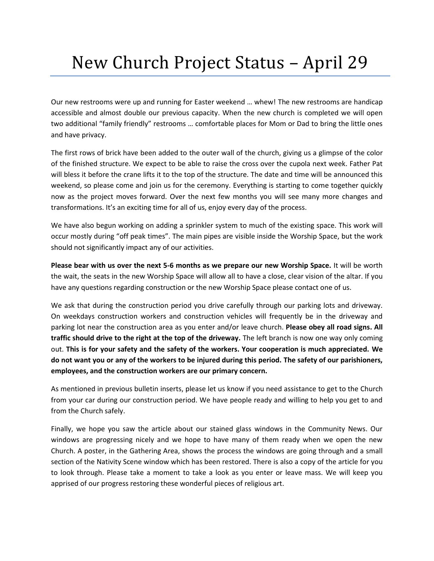## New Church Project Status – April 29

Our new restrooms were up and running for Easter weekend … whew! The new restrooms are handicap accessible and almost double our previous capacity. When the new church is completed we will open two additional "family friendly" restrooms … comfortable places for Mom or Dad to bring the little ones and have privacy.

The first rows of brick have been added to the outer wall of the church, giving us a glimpse of the color of the finished structure. We expect to be able to raise the cross over the cupola next week. Father Pat will bless it before the crane lifts it to the top of the structure. The date and time will be announced this weekend, so please come and join us for the ceremony. Everything is starting to come together quickly now as the project moves forward. Over the next few months you will see many more changes and transformations. It's an exciting time for all of us, enjoy every day of the process.

We have also begun working on adding a sprinkler system to much of the existing space. This work will occur mostly during "off peak times". The main pipes are visible inside the Worship Space, but the work should not significantly impact any of our activities.

**Please bear with us over the next 5-6 months as we prepare our new Worship Space.** It will be worth the wait, the seats in the new Worship Space will allow all to have a close, clear vision of the altar. If you have any questions regarding construction or the new Worship Space please contact one of us.

We ask that during the construction period you drive carefully through our parking lots and driveway. On weekdays construction workers and construction vehicles will frequently be in the driveway and parking lot near the construction area as you enter and/or leave church. **Please obey all road signs. All traffic should drive to the right at the top of the driveway.** The left branch is now one way only coming out. **This is for your safety and the safety of the workers. Your cooperation is much appreciated. We do not want you or any of the workers to be injured during this period. The safety of our parishioners, employees, and the construction workers are our primary concern.**

As mentioned in previous bulletin inserts, please let us know if you need assistance to get to the Church from your car during our construction period. We have people ready and willing to help you get to and from the Church safely.

Finally, we hope you saw the article about our stained glass windows in the Community News. Our windows are progressing nicely and we hope to have many of them ready when we open the new Church. A poster, in the Gathering Area, shows the process the windows are going through and a small section of the Nativity Scene window which has been restored. There is also a copy of the article for you to look through. Please take a moment to take a look as you enter or leave mass. We will keep you apprised of our progress restoring these wonderful pieces of religious art.